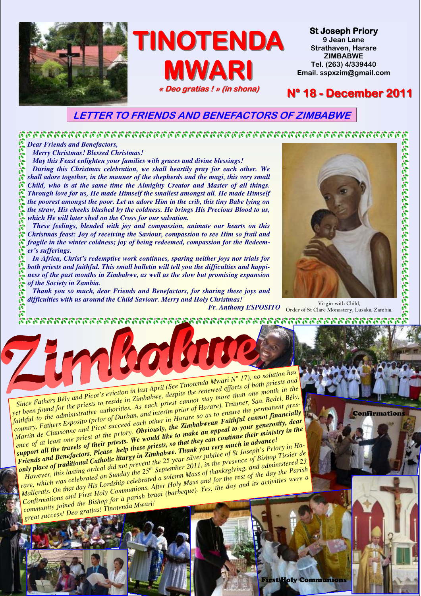

### LETTER TO FRIENDS AND BENEFACTORS OF ZIMBABWE

*Dear Friends and Benefactors,* 

*Merry Christmas! Blessed Christmas!* 

*May this Feast enlighten your families with graces and divine blessings!* 

*During this Christmas celebration, we shall heartily pray for each other. We shall adore together, in the manner of the shepherds and the magi, this very small Child, who is at the same time the Almighty Creator and Master of all things. Through love for us, He made Himself the smallest amongst all. He made Himself the poorest amongst the poor. Let us adore Him in the crib, this tiny Babe lying on the straw, His cheeks blushed by the coldness. He brings His Precious Blood to us, which He will later shed on the Cross for our salvation.* 

*These feelings, blended with joy and compassion, animate our hearts on this Christmas feast: Joy of receiving the Saviour, compassion to see Him so frail and*  fragile in the winter coldness; joy of being redeemed, compassion for the Redeem*er's sufferings.* 

*In Africa, Christ's redemptive work continues, sparing neither joys nor trials for both priests and faithful. This small bulletin will tell you the difficulties and happiness of the past months in Zimbabwe, as well as the slow but promising expansion of the Society in Zambia.* 

*Thank you so much, dear Friends and Benefactors, for sharing these joys and difficulties with us around the Child Saviour. Merry and Holy Christmas! Virgin with Child, Pr. Anthony ESPOSITO Order of St Clare Monastery, Lusaka, Zambia.* 

Confirmations

ห้ตรงกรรมการกรรมการกรรมการกรรมการกรรมการกรรมการกรรมการก

*Since Fathers Bély and Picot's eviction in last April (See Tinotenda Mwari N° 17), no solution has* since Fainers pery and Licot's eviction of ast apple (see Timotenad Mwart IN 17), no solution has<br>yet been found for the priests to reside in Zimbabwe, despite the renewed efforts of both priests and *faithful to the administrative authorities. As each priest canno<sup>t</sup> stay more than one month in the country, Fathers Esposito (prior of Durban, and interim prior of Harare), Trauner, Saa, Bedel, Bély, Martin declimes Copiesity Qrivit of Darvan*, and *interim prior of riginary*, *riginary*, *say*, *beach*, *perfy*, *riginary*, *riginary*, *riginary*, *riginary*, *riginary*, *riginary*, *riginary*, *riginary*, *ence of at least one priest at the priory. Obviously, the Zimbabwean Faithful cannot financially support all the travels of their priests. We would like to make an appeal to your generosity, dear Friends and Benefactors. Please help these priests, so that they can continue their ministry in the*

*once* of at least one priest of their priests. We would like they can continue in advance!<br> *inport all the travels of their priests, so that they can continue in advance!*<br> *Friends and Benefactors. Please help these pr* be of all the travels of their priests. So the most were much in divided by the travels of their prices help these priests, so that we you very much in divide the proper silver in Ha-<br>
iends and Benefactors. Please help t *rowever, this using order and not prevent the 25 year suver jubilee of St Joseph S Priory in Ha-*<br>rare, which was celebrated on Sunday the 25<sup>th</sup> September 2011, in the presence of Bishop Tissier de *September 2011, in the presence of Bishop Tissier de Mallerais. On that day His Lordship celebrated <sup>a</sup> solemn Mass of thanksgiving, and administered <sup>23</sup>*

Matterats. On that day ris corasnip cetebrated a solemn mass of manksgiving, and daministered 25<br>Confirmations and First Holy Communions. After Holy Mass and for the rest of the day the Parish congregators and the Bishop for a parish braai (barbeque). Yes, the day and its activities were a

*grea<sup>t</sup> success! Deo gratias! Tinotenda Mwari!*